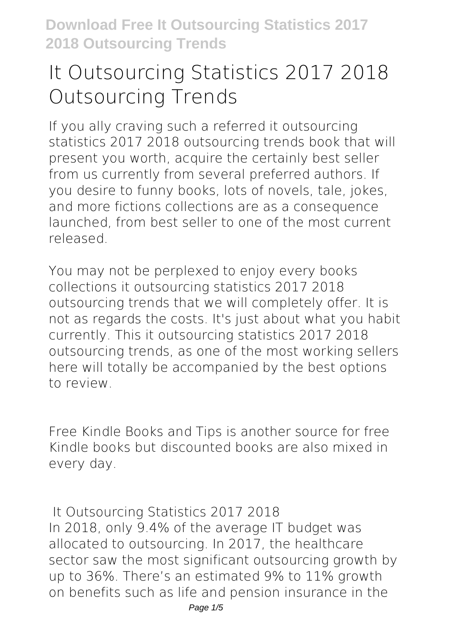## **It Outsourcing Statistics 2017 2018 Outsourcing Trends**

If you ally craving such a referred **it outsourcing statistics 2017 2018 outsourcing trends** book that will present you worth, acquire the certainly best seller from us currently from several preferred authors. If you desire to funny books, lots of novels, tale, jokes, and more fictions collections are as a consequence launched, from best seller to one of the most current released.

You may not be perplexed to enjoy every books collections it outsourcing statistics 2017 2018 outsourcing trends that we will completely offer. It is not as regards the costs. It's just about what you habit currently. This it outsourcing statistics 2017 2018 outsourcing trends, as one of the most working sellers here will totally be accompanied by the best options to review.

Free Kindle Books and Tips is another source for free Kindle books but discounted books are also mixed in every day.

**It Outsourcing Statistics 2017 2018** In 2018, only 9.4% of the average IT budget was allocated to outsourcing. In 2017, the healthcare sector saw the most significant outsourcing growth by up to 36%. There's an estimated 9% to 11% growth on benefits such as life and pension insurance in the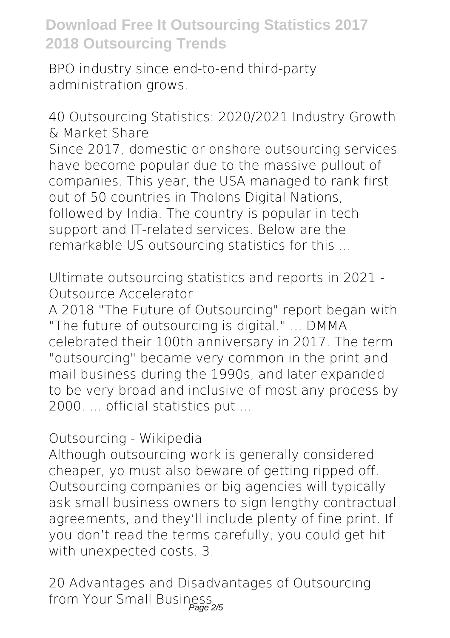BPO industry since end-to-end third-party administration grows.

**40 Outsourcing Statistics: 2020/2021 Industry Growth & Market Share** Since 2017, domestic or onshore outsourcing services have become popular due to the massive pullout of companies. This year, the USA managed to rank first out of 50 countries in Tholons Digital Nations, followed by India. The country is popular in tech support and IT-related services. Below are the remarkable US outsourcing statistics for this ...

**Ultimate outsourcing statistics and reports in 2021 - Outsource Accelerator**

A 2018 "The Future of Outsourcing" report began with "The future of outsourcing is digital." ... DMMA celebrated their 100th anniversary in 2017. The term "outsourcing" became very common in the print and mail business during the 1990s, and later expanded to be very broad and inclusive of most any process by 2000. ... official statistics put ...

## **Outsourcing - Wikipedia**

Although outsourcing work is generally considered cheaper, yo must also beware of getting ripped off. Outsourcing companies or big agencies will typically ask small business owners to sign lengthy contractual agreements, and they'll include plenty of fine print. If you don't read the terms carefully, you could get hit with unexpected costs. 3.

**20 Advantages and Disadvantages of Outsourcing from Your Small Business** Page 2/5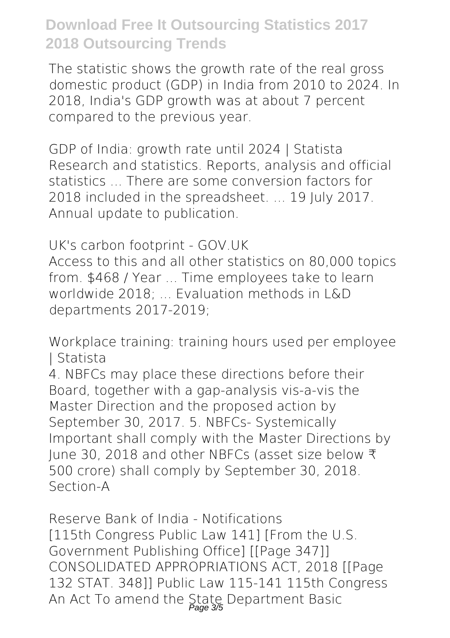The statistic shows the growth rate of the real gross domestic product (GDP) in India from 2010 to 2024. In 2018, India's GDP growth was at about 7 percent compared to the previous year.

**GDP of India: growth rate until 2024 | Statista** Research and statistics. Reports, analysis and official statistics ... There are some conversion factors for 2018 included in the spreadsheet. ... 19 July 2017. Annual update to publication.

**UK's carbon footprint - GOV.UK**

Access to this and all other statistics on 80,000 topics from. \$468 / Year ... Time employees take to learn worldwide 2018; ... Evaluation methods in L&D departments 2017-2019;

**Workplace training: training hours used per employee | Statista**

4. NBFCs may place these directions before their Board, together with a gap-analysis vis-a-vis the Master Direction and the proposed action by September 30, 2017. 5. NBFCs- Systemically Important shall comply with the Master Directions by June 30, 2018 and other NBFCs (asset size below ₹ 500 crore) shall comply by September 30, 2018. Section-A

**Reserve Bank of India - Notifications** [115th Congress Public Law 141] [From the U.S. Government Publishing Office] [[Page 347]] CONSOLIDATED APPROPRIATIONS ACT, 2018 [[Page 132 STAT. 348]] Public Law 115-141 115th Congress An Act To amend the State Department Basic<br>Page 35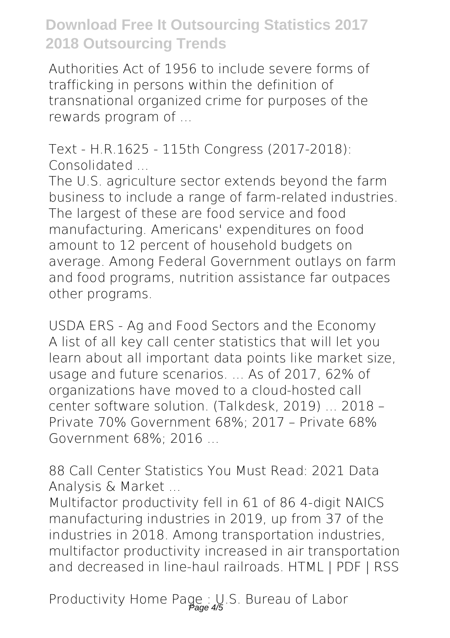Authorities Act of 1956 to include severe forms of trafficking in persons within the definition of transnational organized crime for purposes of the rewards program of ...

**Text - H.R.1625 - 115th Congress (2017-2018): Consolidated ...**

The U.S. agriculture sector extends beyond the farm business to include a range of farm-related industries. The largest of these are food service and food manufacturing. Americans' expenditures on food amount to 12 percent of household budgets on average. Among Federal Government outlays on farm and food programs, nutrition assistance far outpaces other programs.

**USDA ERS - Ag and Food Sectors and the Economy** A list of all key call center statistics that will let you learn about all important data points like market size, usage and future scenarios. ... As of 2017, 62% of organizations have moved to a cloud-hosted call center software solution. (Talkdesk, 2019) ... 2018 – Private 70% Government 68%; 2017 – Private 68% Government 68%; 2016 ...

**88 Call Center Statistics You Must Read: 2021 Data Analysis & Market ...**

Multifactor productivity fell in 61 of 86 4-digit NAICS manufacturing industries in 2019, up from 37 of the industries in 2018. Among transportation industries, multifactor productivity increased in air transportation and decreased in line-haul railroads. HTML | PDF | RSS

Productivity Home Page : U.S. Bureau of Labor